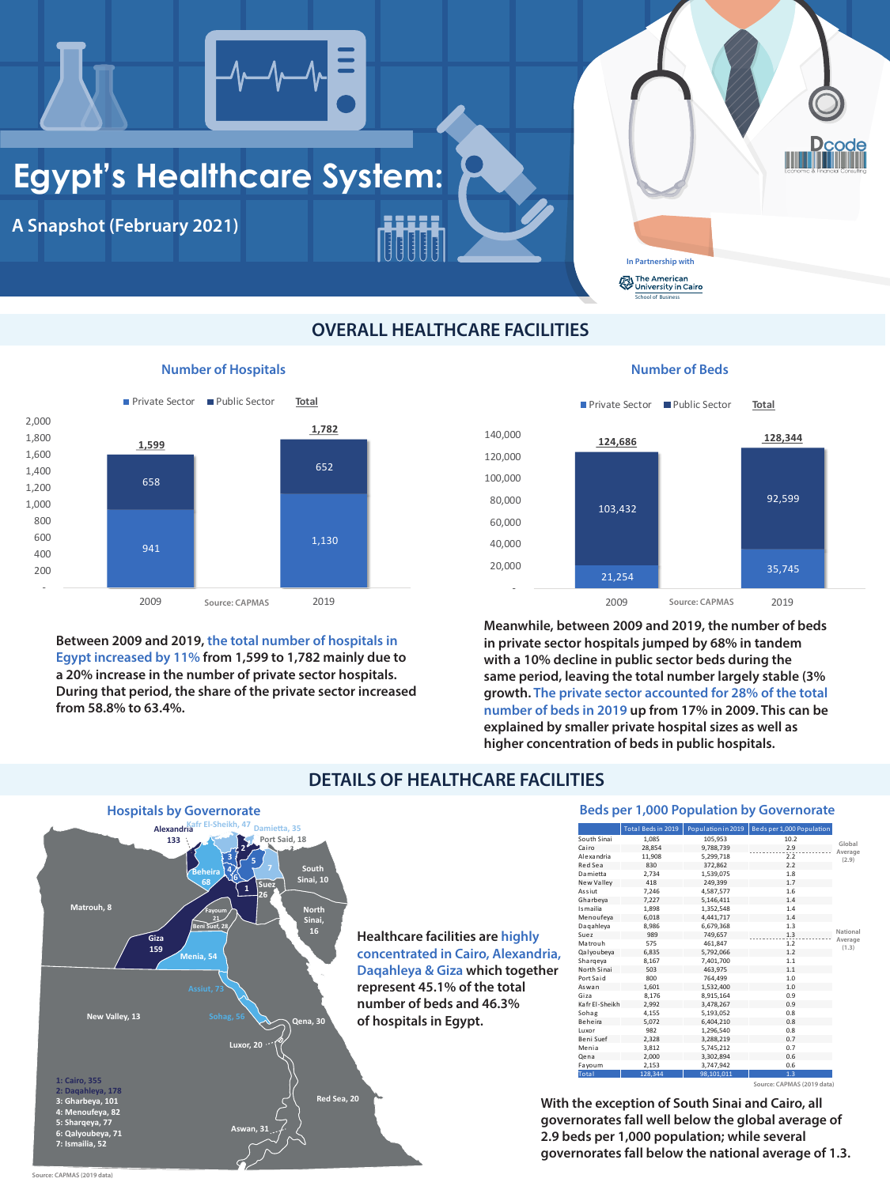## **Egypt's Healthcare System:**

**A Snapshot (February 2021)**

### **OVERALL HEALTHCARE FACILITIES**

### **Number of Hospitals**

**Between 2009 and 2019, the total number of hospitals in Egypt increased by 11% from 1,599 to 1,782 mainly due to a 20% increase in the number of private sector hospitals. During that period, the share of the private sector increased from 58.8% to 63.4%.**

**Number of Beds**

**In Partnership with School of Business**<br> **School of Business** The American

|                | Total Beds in 2019 | Population in 2019 | Beds per 1,000 Population |                  |
|----------------|--------------------|--------------------|---------------------------|------------------|
| South Sinai    | 1,085              | 105,953            | 10.2                      | Global           |
| Cairo          | 28,854             | 9,788,739          | 2.9                       | Average          |
| Al e xa ndria  | 11,908             | 5,299,718          | 2.2                       | (2.9)            |
| Red Sea        | 830                | 372,862            | 2.2                       |                  |
| Damietta       | 2,734              | 1,539,075          | 1.8                       |                  |
| New Valley     | 418                | 249,399            | 1.7                       |                  |
| Assiut         | 7,246              | 4,587,577          | 1.6                       |                  |
| Gharbeya       | 7,227              | 5,146,411          | 1.4                       |                  |
| Is mailia      | 1,898              | 1,352,548          | 1.4                       |                  |
| Menoufeya      | 6,018              | 4,441,717          | 1.4                       |                  |
| Dagahleya      | 8,986              | 6,679,368          | 1.3                       |                  |
| Suez           | 989                | 749,657            | 1.3                       | National         |
| Matrouh        | 575                | 461,847            | 1.2                       | Average<br>(1.3) |
| Qalyoubeya     | 6,835              | 5,792,066          | 1.2                       |                  |
| Shargeya       | 8,167              | 7,401,700          | 1.1                       |                  |
| North Sinai    | 503                | 463,975            | 1.1                       |                  |
| Port Said      | 800                | 764,499            | 1.0                       |                  |
| Aswan          | 1,601              | 1,532,400          | 1.0                       |                  |
| Giza           | 8,176              | 8,915,164          | 0.9                       |                  |
| Kafr El-Sheikh | 2,992              | 3,478,267          | 0.9                       |                  |
| Sohag          | 4,155              | 5,193,052          | 0.8                       |                  |
| <b>Beheira</b> | 5,072              | 6,404,210          | 0.8                       |                  |
| Luxor          | 982                | 1,296,540          | 0.8                       |                  |
| Beni Suef      | 2,328              | 3,288,219          | 0.7                       |                  |
| Menia          | 3,812              | 5,745,212          | 0.7                       |                  |
| Qena           | 2,000              | 3,302,894          | 0.6                       |                  |
| Fayoum         | 2,153              | 3,747,942          | 0.6                       |                  |
| Total          | 128,344            | 98,101,011         | 1.3                       |                  |

**Meanwhile, between 2009 and 2019, the number of beds in private sector hospitals jumped by 68% in tandem with a 10% decline in public sector beds during the same period, leaving the total number largely stable (3% growth. The private sector accounted for 28% of the total number of beds in 2019 up from 17% in 2009. This can be explained by smaller private hospital sizes as well as**



**higher concentration of beds in public hospitals.**

### **DETAILS OF HEALTHCARE FACILITIES**



### **Beds per 1,000 Population by Governorate**

**Source: CAPMAS (2019 data)**

**Healthcare facilities are highly concentrated in Cairo, Alexandria, Daqahleya & Giza which together represent 45.1% of the total number of beds and 46.3% of hospitals in Egypt.**



**With the exception of South Sinai and Cairo, all governorates fall well below the global average of 2.9 beds per 1,000 population; while several governorates fall below the national average of 1.3.**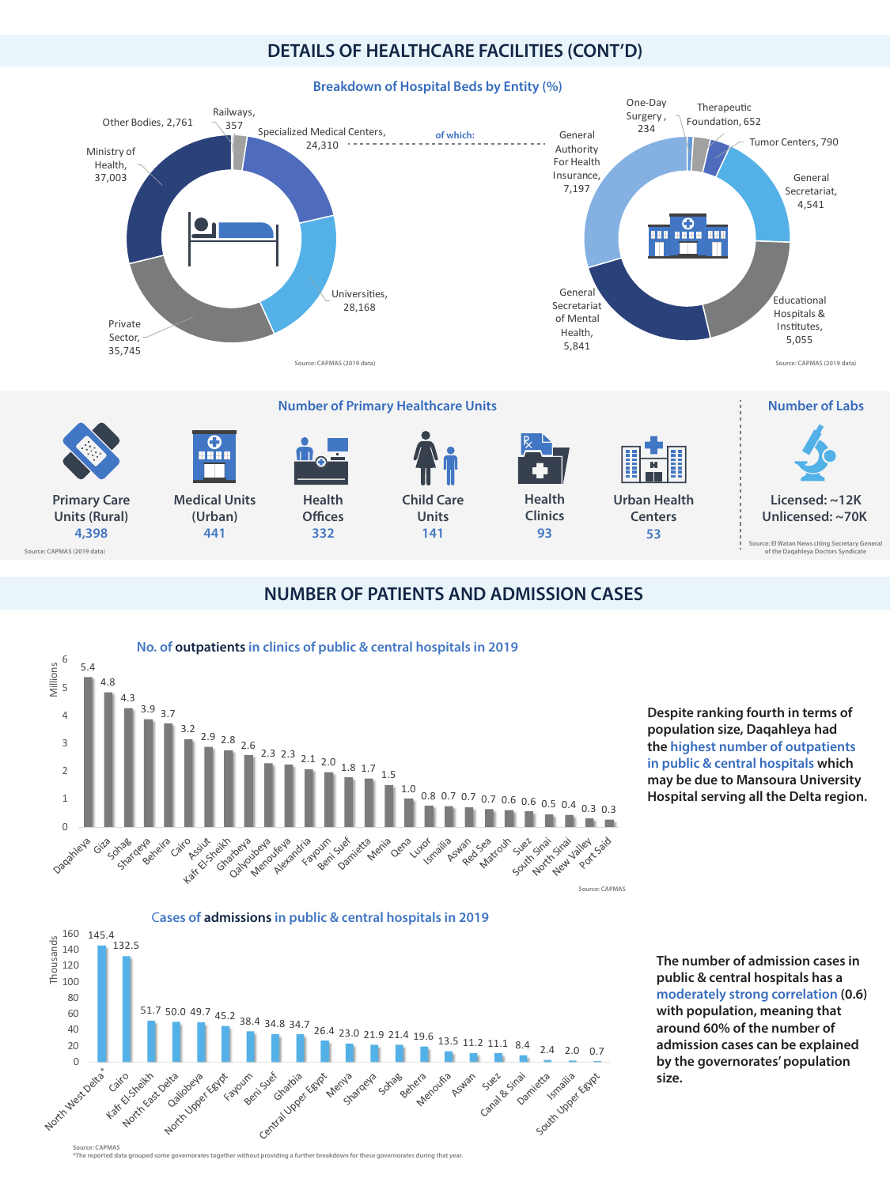### **DETAILS OF HEALTHCARE FACILITIES (CONT'D)**

**Breakdown of Hospital Beds by Entity (%)**



### **NUMBER OF PATIENTS AND ADMISSION CASES**

**Despite ranking fourth in terms of population size, Daqahleya had**



**Source: CAPMAS \*The reported data grouped some governorates together without providing a further breakdown for these governorates during that year.**

**the highest number of outpatients in public & central hospitals which may be due to Mansoura University Hospital serving all the Delta region.**

**The number of admission cases in public & central hospitals has a moderately strong correlation (0.6) with population, meaning that around 60% of the number of admission cases can be explained by the governorates' population size.** 

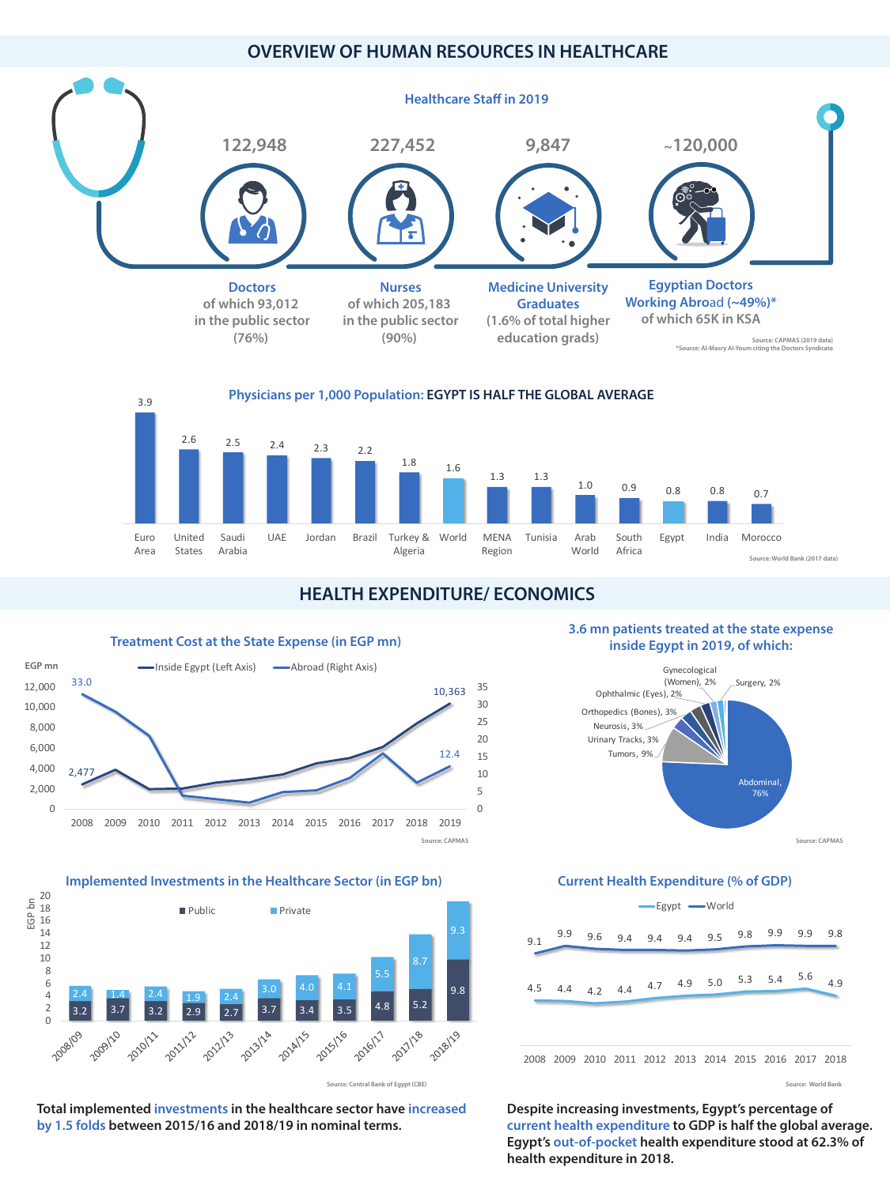### **OVERVIEW OF HUMAN RESOURCES IN HEALTHCARE**

### **HEALTH EXPENDITURE/ ECONOMICS**



### **Implemented Investments in the Healthcare Sector (in EGP bn) Current Health Expenditure (% of GDP)**  $\overline{3.2}$   $\overline{3.2}$   $\overline{2.9}$   $\overline{2.7}$   $\overline{3.7}$   $\overline{3.4}$   $\overline{3.5}$   $\overline{4.8}$   $\overline{5.2}$ 9.8 2.4 1.4 2.4 1.9 2.4 3.0 4.0 4.1 5.5 8.7 9.3 2008-In-2 4 6 8 10 12 14 16 18 20 ш  $\overline{\mathcal{O}}$  $\mathbf{r}$ ع  $\equiv$ **Public** Private

2009/10

**2010/11** 

**2011/12** 

**2012/13** 

**Treatment Cost at the State Expense (in EGP mn)**

### **3.6 mn patients treated at the state expense inside Egypt in 2019, of which:**

**Source: World Bank**

**Source: Central Bank of Egypt (CBE)**

2017/128

2018/19

**Total implemented investments in the healthcare sector have increased by 1.5 folds between 2015/16 and 2018/19 in nominal terms.**

2013/14



2015/116

2016/11

2014/15

**Despite increasing investments, Egypt's percentage of current health expenditure to GDP is half the global average. Egypt's out-of-pocket health expenditure stood at 62.3% of health expenditure in 2018.**





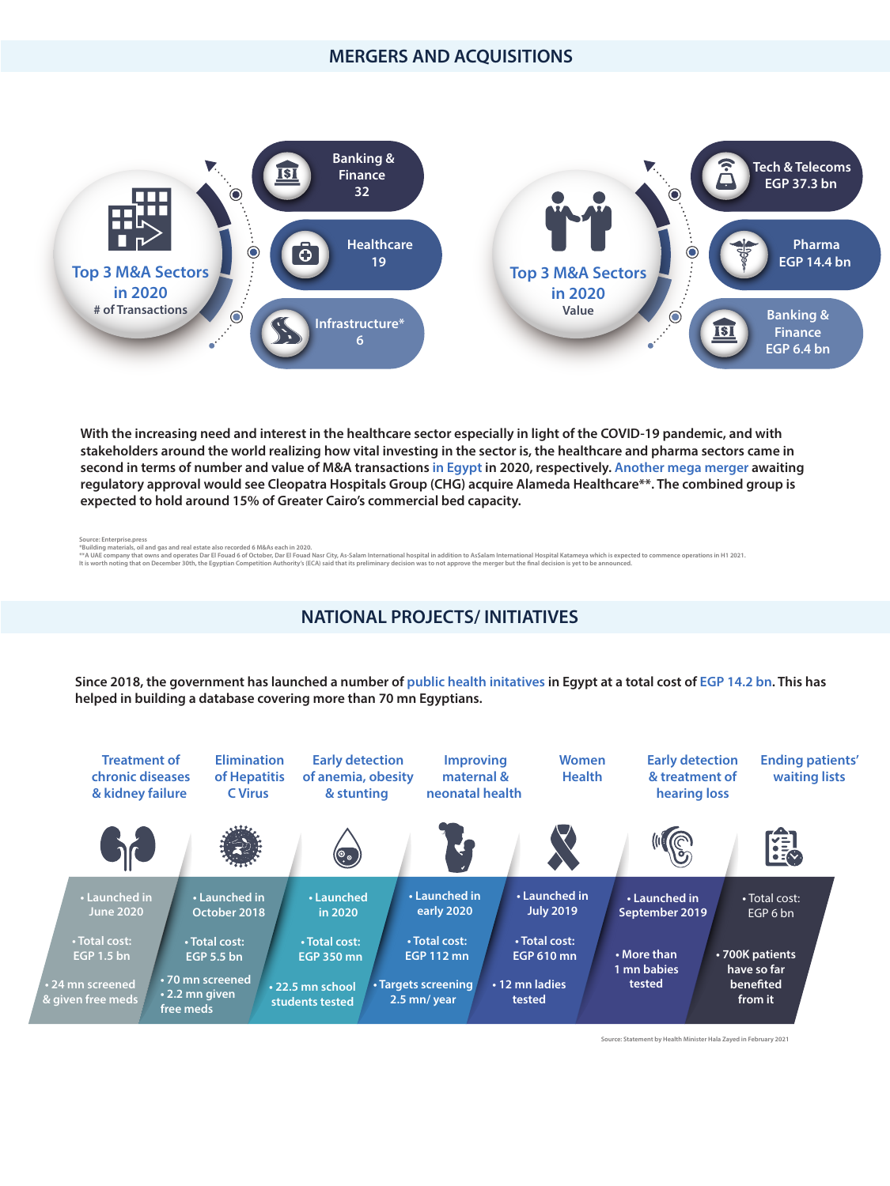### **MERGERS AND ACQUISITIONS**

### **NATIONAL PROJECTS/ INITIATIVES**

**Source: Enterprise.press**

**\*Building materials, oil and gas and real estate also recorded 6 M&As each in 2020.**

\*\* A UAE company that owns and operates Dar El Fouad 6 of October, Dar El Fouad Nasr City, As-Salam International hospital in addition to AsSalam International Hospital Katameya which is expected to commence operations in It is worth noting that on December 30th, the Egyptian Competition Authority's (ECA) said that its preliminary decision was to not approve the merger but the final decision is yet to be announced.



**With the increasing need and interest in the healthcare sector especially in light of the COVID-19 pandemic, and with stakeholders around the world realizing how vital investing in the sector is, the healthcare and pharma sectors came in second in terms of number and value of M&A transactions in Egypt in 2020, respectively. Another mega merger awaiting regulatory approval would see Cleopatra Hospitals Group (CHG) acquire Alameda Healthcare\*\*. The combined group is expected to hold around 15% of Greater Cairo's commercial bed capacity.**

**Source: Statement by Health Minister Hala Zayed in February 2021**

**Since 2018, the government has launched a number of public health initatives in Egypt at a total cost of EGP 14.2 bn. This has helped in building a database covering more than 70 mn Egyptians.**

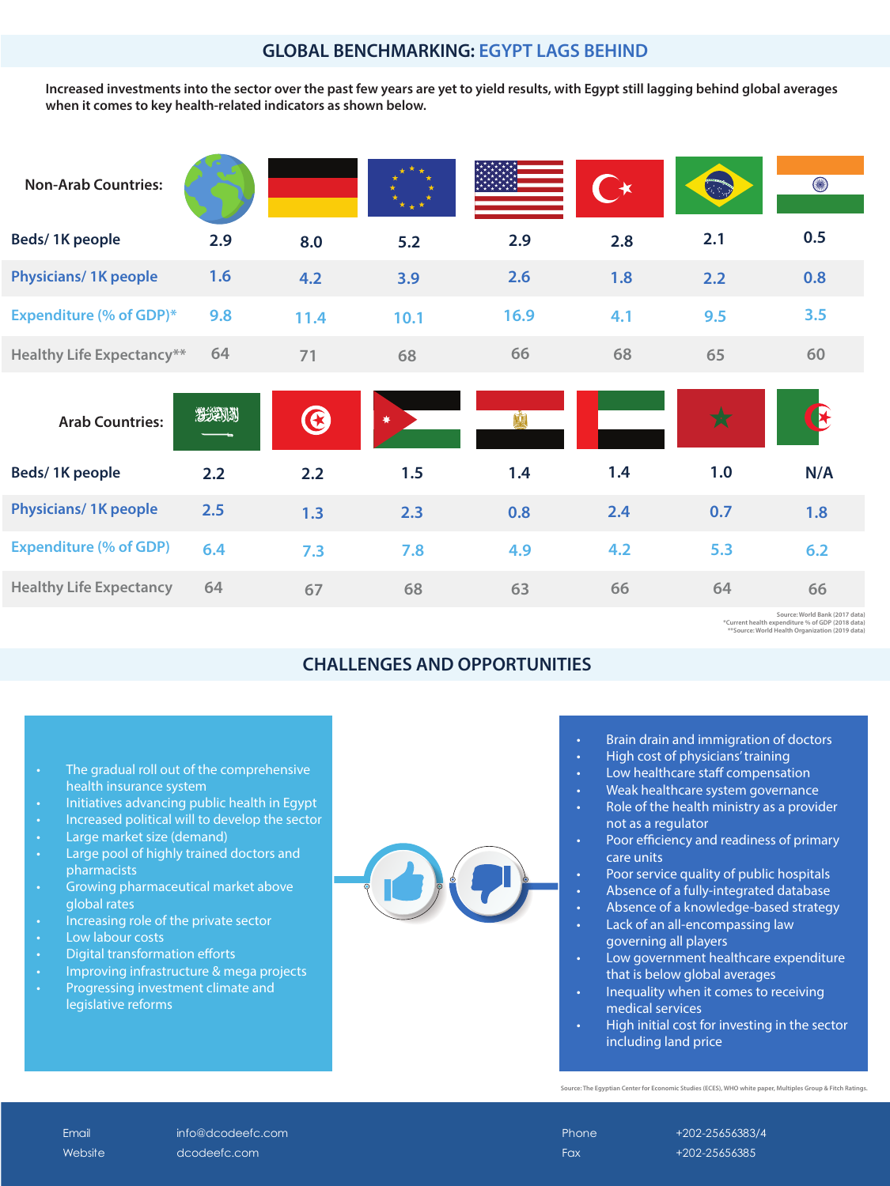### **GLOBAL BENCHMARKING: EGYPT LAGS BEHIND**

### **CHALLENGES AND OPPORTUNITIES**

**Healthy Life Expectancy**

Phone  $+202-25656383/4$ Fax +202-25656385

**Source: World Bank (2017 data) \*Current health expenditure % of GDP (2018 data) \*\*Source: World Health Organization (2019 data)**

**64 67**

**68 63 66 64**

Website dcodeefc.com

**Source: The Egyptian Center for Economic Studies (ECES), WHO white paper, Multiples Group & Fitch Ratings.**

Email info@dcodeefc.com

• Brain drain and immigration of doctors

- Initiatives advancing public health in Egypt
- Increased political will to develop the sector
- Large market size (demand)
- Large pool of highly trained doctors and pharmacists
- Growing pharmaceutical market above global rates
- Increasing role of the private sector
- Low labour costs

| <b>Non-Arab Countries:</b>       |     |      |            |      | $\rightarrow$ |          | 0   |
|----------------------------------|-----|------|------------|------|---------------|----------|-----|
| Beds/1K people                   | 2.9 | 8.0  | 5.2        | 2.9  | 2.8           | 2.1      | 0.5 |
| <b>Physicians/1K people</b>      | 1.6 | 4.2  | 3.9        | 2.6  | 1.8           | 2.2      | 0.8 |
| <b>Expenditure (% of GDP)*</b>   | 9.8 | 11.4 | 10.1       | 16.9 | 4.1           | 9.5      | 3.5 |
| <b>Healthy Life Expectancy**</b> | 64  | 71   | 68         | 66   | 68            | 65       | 60  |
| <b>Arab Countries:</b>           |     | B    | $\bigstar$ |      |               | <b>X</b> |     |
| <b>Beds/1K people</b>            | 2.2 | 2.2  | 1.5        | 1.4  | 1.4           | 1.0      | N/A |
| <b>Physicians/1K people</b>      | 2.5 | 1.3  | 2.3        | 0.8  | 2.4           | 0.7      | 1.8 |
| <b>Expenditure (% of GDP)</b>    | 6.4 | 7.3  | 7.8        | 4.9  | 4.2           | 5.3      | 6.2 |

- High cost of physicians' training
- Low healthcare staff compensation
- Weak healthcare system governance
- Role of the health ministry as a provider not as a regulator
- Poor efficiency and readiness of primary care units
- Poor service quality of public hospitals
- Absence of a fully-integrated database
- Absence of a knowledge-based strategy
- Lack of an all-encompassing law governing all players
- Low government healthcare expenditure that is below global averages
- Inequality when it comes to receiving medical services
- High initial cost for investing in the sector including land price

• The gradual roll out of the comprehensive health insurance system

- Digital transformation efforts
- Improving infrastructure & mega projects
- Progressing investment climate and legislative reforms



**66**

**Increased investments into the sector over the past few years are yet to yield results, with Egypt still lagging behind global averages when it comes to key health-related indicators as shown below.**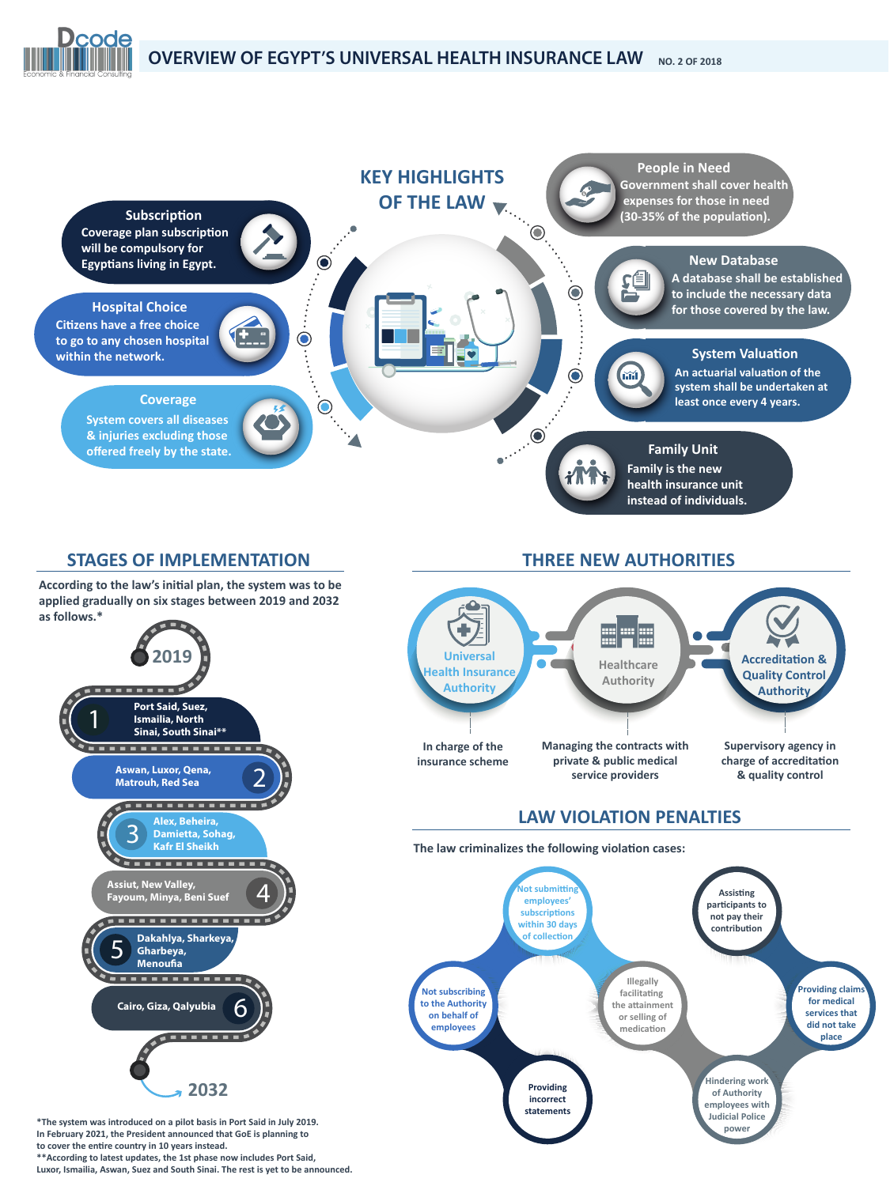### **STAGES OF IMPLEMENTATION**

**According to the law's ini�al plan, the system was to be applied gradually on six stages between 2019 and 2032 as follows.\***





**Dcode** 

**\*The system was introduced on a pilot basis in Port Said in July 2019. In February 2021, the President announced that GoE is planning to** to cover the entire country in 10 years instead. **\*\*According to latest updates, the 1st phase now includes Port Said, Luxor, Ismailia, Aswan, Suez and South Sinai. The rest is yet to be announced.**

### **THREE NEW AUTHORITIES**



**In charge of the insurance scheme** **Managing the contracts with private & public medical service providers**

**Supervisory agency in** charge of accreditation **& quality control**

### **LAW VIOLATION PENALTIES**

The law criminalizes the following violation cases: